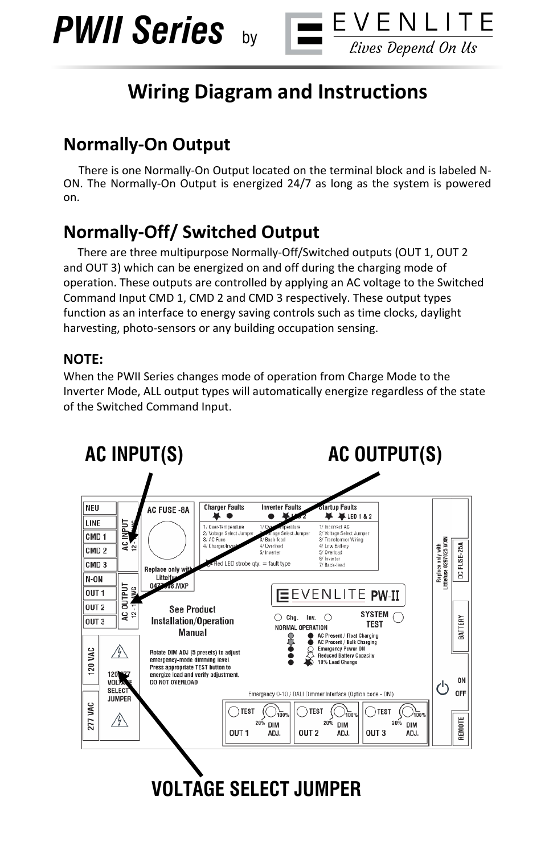



# **Wiring Diagram and Instructions**

## **Normally-On Output**

 There is one Normally-On Output located on the terminal block and is labeled N-ON. The Normally-On Output is energized 24/7 as long as the system is powered on.

## **Normally-Off/ Switched Output**

 There are three multipurpose Normally-Off/Switched outputs (OUT 1, OUT 2 and OUT 3) which can be energized on and off during the charging mode of operation. These outputs are controlled by applying an AC voltage to the Switched Command Input CMD 1, CMD 2 and CMD 3 respectively. These output types function as an interface to energy saving controls such as time clocks, daylight harvesting, photo-sensors or any building occupation sensing.

#### **NOTE:**

When the PWII Series changes mode of operation from Charge Mode to the Inverter Mode, ALL output types will automatically energize regardless of the state of the Switched Command Input.



**VOLTAGE SELECT JUMPER**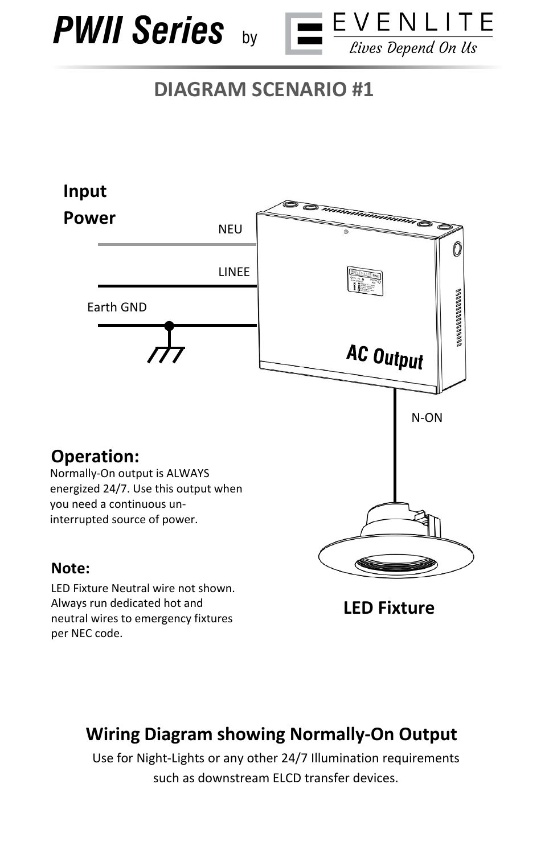



# **DIAGRAM SCENARIO #1**



Always run dedicated hot and neutral wires to emergency fixtures per NEC code.

**LED Fixture**

## **Wiring Diagram showing Normally-On Output**

Use for Night-Lights or any other 24/7 Illumination requirements such as downstream ELCD transfer devices.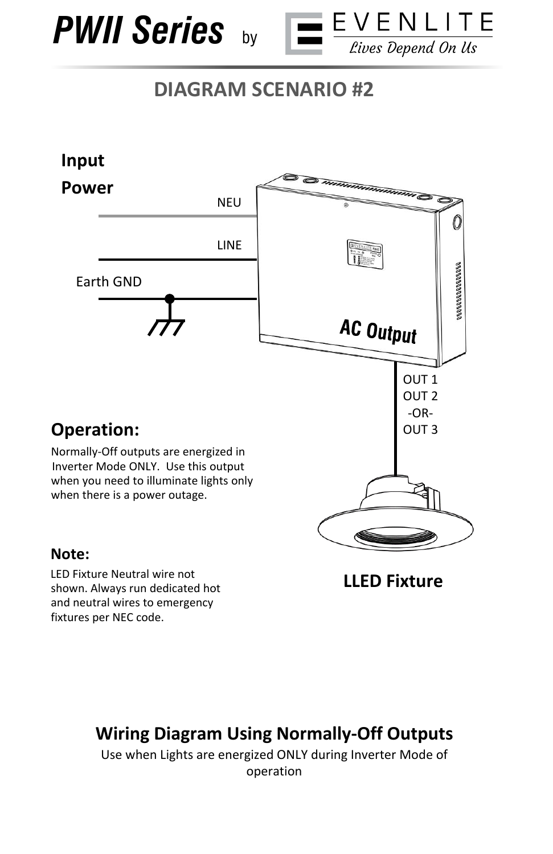

shown. Always run dedicated hot and neutral wires to emergency

fixtures per NEC code.



# **DIAGRAM SCENARIO #2**



**LLED Fixture** 

## **Wiring Diagram Using Normally-Off Outputs**

Use when Lights are energized ONLY during Inverter Mode of operation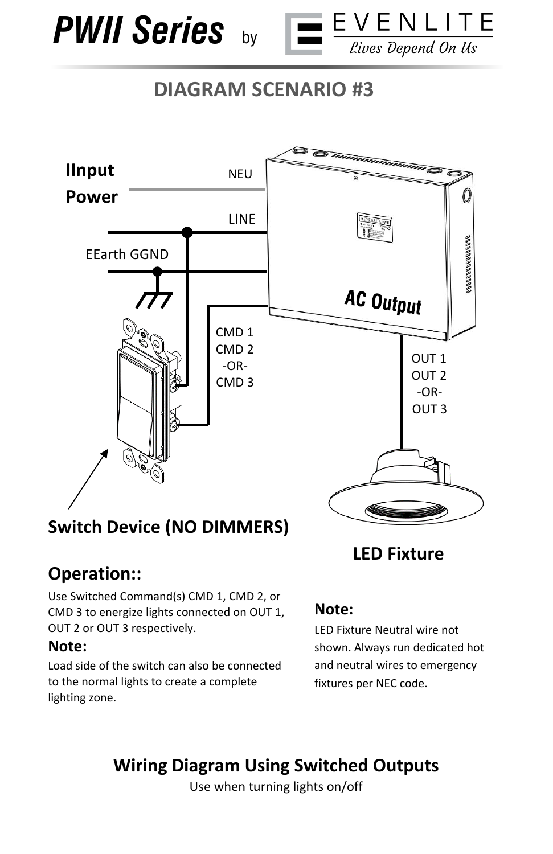



# **DIAGRAM SCENARIO #3**



## **Switch Device (NO DIMMERS)**

## **Operation::**

Use Switched Command(s) CMD 1, CMD 2, or CMD 3 to energize lights connected on OUT 1, OUT 2 or OUT 3 respectively.

#### **Note:**

Load side of the switch can also be connected to the normal lights to create a complete lighting zone.

#### **LED Fixture**

#### **Note:**

LED Fixture Neutral wire not shown. Always run dedicated hot and neutral wires to emergency fixtures per NEC code.

## **Wiring Diagram Using Switched Outputs**

Use when turning lights on/off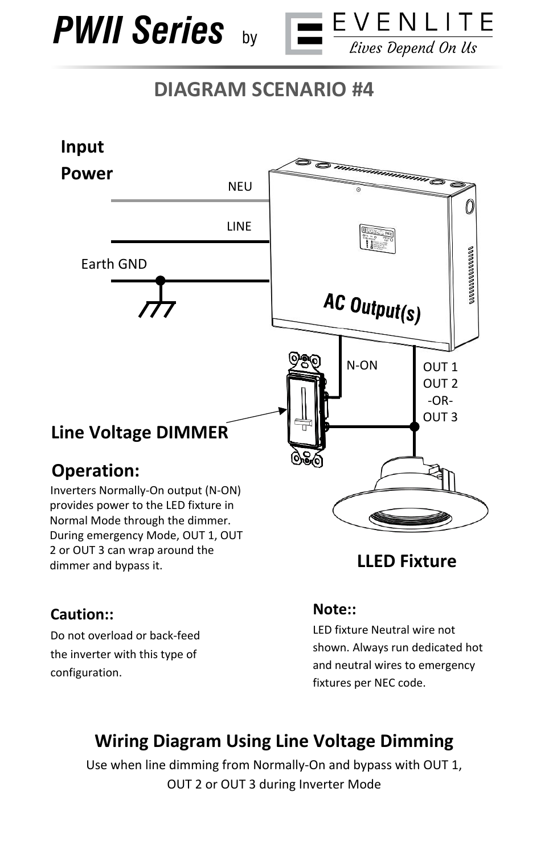



# **DIAGRAM SCENARIO #4**



#### **Caution::**

dimmer and bypass it.

Do not overload or back-feed the inverter with this type of configuration.

#### **LLED Fixture**

#### **Note::**

LED fixture Neutral wire not shown. Always run dedicated hot and neutral wires to emergency fixtures per NEC code.

## **Wiring Diagram Using Line Voltage Dimming**

Use when line dimming from Normally-On and bypass with OUT 1, OUT 2 or OUT 3 during Inverter Mode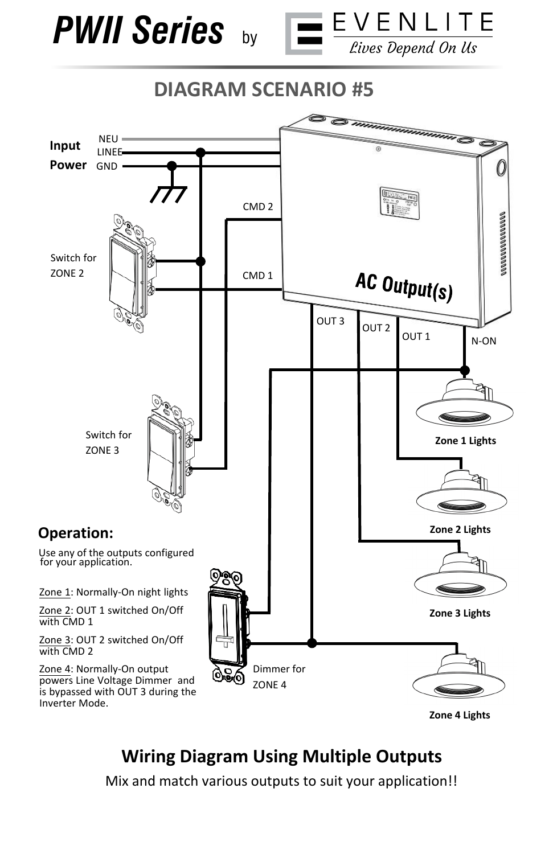





**Zone 4 Lights** 

## **Wiring Diagram Using Multiple Outputs**

Mix and match various outputs to suit your application!!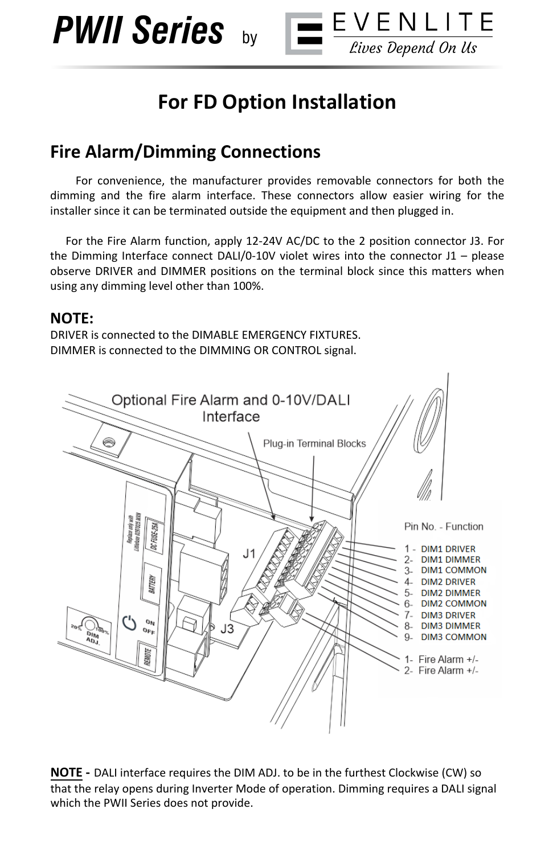*PWII Series* by



 $\equiv$  EVENLITE

Lives Depend On Us

#### **Fire Alarm/Dimming Connections**

 For convenience, the manufacturer provides removable connectors for both the dimming and the fire alarm interface. These connectors allow easier wiring for the installer since it can be terminated outside the equipment and then plugged in.

 For the Fire Alarm function, apply 12-24V AC/DC to the 2 position connector J3. For the Dimming Interface connect DALI/0-10V violet wires into the connector  $J1 -$  please observe DRIVER and DIMMER positions on the terminal block since this matters when using any dimming level other than 100%.

#### **NOTE:**

DRIVER is connected to the DIMABLE EMERGENCY FIXTURES. DIMMER is connected to the DIMMING OR CONTROL signal.

**NOTE -** DALI interface requires the DIM ADJ. to be in the furthest Clockwise (CW) so that the relay opens during Inverter Mode of operation. Dimming requires a DALI signal which the PWII Series does not provide.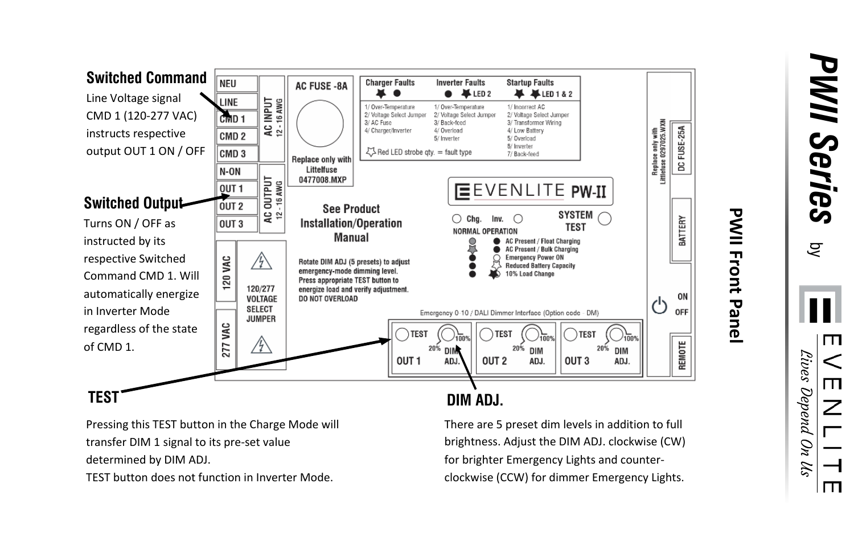

## **PWII Front Panel**

*PWII Series* by

V N F  $\perp$ T. Lives Depend On Us

F